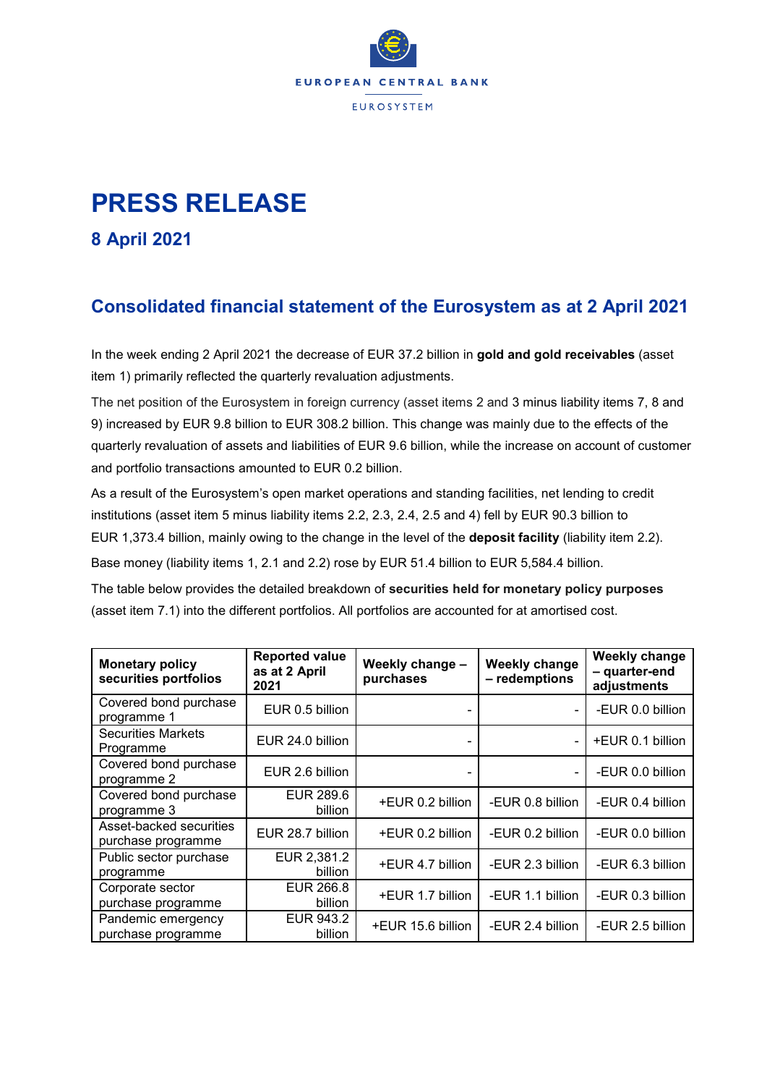

## **PRESS RELEASE**

**8 April 2021**

## **Consolidated financial statement of the Eurosystem as at 2 April 2021**

In the week ending 2 April 2021 the decrease of EUR 37.2 billion in **gold and gold receivables** (asset item 1) primarily reflected the quarterly revaluation adjustments.

The net position of the Eurosystem in foreign currency (asset items 2 and 3 minus liability items 7, 8 and 9) increased by EUR 9.8 billion to EUR 308.2 billion. This change was mainly due to the effects of the quarterly revaluation of assets and liabilities of EUR 9.6 billion, while the increase on account of customer and portfolio transactions amounted to EUR 0.2 billion.

As a result of the Eurosystem's open market operations and standing facilities, net lending to credit institutions (asset item 5 minus liability items 2.2, 2.3, 2.4, 2.5 and 4) fell by EUR 90.3 billion to EUR 1,373.4 billion, mainly owing to the change in the level of the **deposit facility** (liability item 2.2). Base money (liability items 1, 2.1 and 2.2) rose by EUR 51.4 billion to EUR 5,584.4 billion.

The table below provides the detailed breakdown of **securities held for monetary policy purposes** (asset item 7.1) into the different portfolios. All portfolios are accounted for at amortised cost.

| <b>Monetary policy</b><br>securities portfolios | <b>Reported value</b><br>as at 2 April<br>2021 | Weekly change -<br>purchases | <b>Weekly change</b><br>- redemptions | <b>Weekly change</b><br>- quarter-end<br>adjustments |  |
|-------------------------------------------------|------------------------------------------------|------------------------------|---------------------------------------|------------------------------------------------------|--|
| Covered bond purchase<br>programme 1            | EUR 0.5 billion                                |                              | ٠                                     | -EUR 0.0 billion                                     |  |
| <b>Securities Markets</b><br>Programme          | EUR 24.0 billion                               |                              | $\blacksquare$                        | +EUR 0.1 billion                                     |  |
| Covered bond purchase<br>programme 2            | EUR 2.6 billion                                |                              | $\blacksquare$                        | -EUR 0.0 billion                                     |  |
| Covered bond purchase<br>programme 3            | <b>EUR 289.6</b><br>billion                    | +EUR 0.2 billion             | -EUR 0.8 billion                      | -EUR 0.4 billion                                     |  |
| Asset-backed securities<br>purchase programme   | EUR 28.7 billion                               | +EUR 0.2 billion             | -EUR 0.2 billion                      | -EUR 0.0 billion                                     |  |
| Public sector purchase<br>programme             | EUR 2,381.2<br>billion                         | +EUR 4.7 billion             | -EUR 2.3 billion                      | -EUR 6.3 billion                                     |  |
| Corporate sector<br>purchase programme          | EUR 266.8<br>billion                           | +EUR 1.7 billion             | -EUR 1.1 billion                      | -EUR 0.3 billion                                     |  |
| Pandemic emergency<br>purchase programme        | EUR 943.2<br>billion                           | +EUR 15.6 billion            | -EUR 2.4 billion                      | -EUR 2.5 billion                                     |  |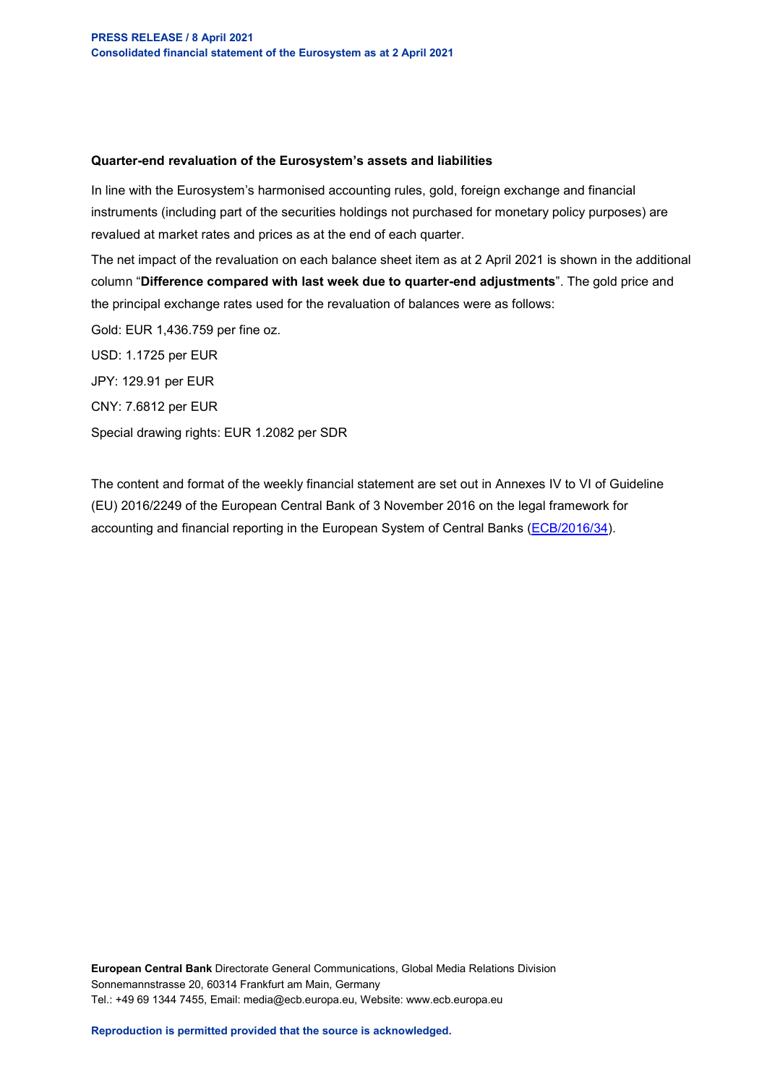## **Quarter-end revaluation of the Eurosystem's assets and liabilities**

In line with the Eurosystem's harmonised accounting rules, gold, foreign exchange and financial instruments (including part of the securities holdings not purchased for monetary policy purposes) are revalued at market rates and prices as at the end of each quarter.

The net impact of the revaluation on each balance sheet item as at 2 April 2021 is shown in the additional column "**Difference compared with last week due to quarter-end adjustments**". The gold price and the principal exchange rates used for the revaluation of balances were as follows:

Gold: EUR 1,436.759 per fine oz. USD: 1.1725 per EUR JPY: 129.91 per EUR CNY: 7.6812 per EUR Special drawing rights: EUR 1.2082 per SDR

The content and format of the weekly financial statement are set out in Annexes IV to VI of Guideline (EU) 2016/2249 of the European Central Bank of 3 November 2016 on the legal framework for accounting and financial reporting in the European System of Central Banks [\(ECB/2016/34\)](https://eur-lex.europa.eu/legal-content/EN/TXT/?qid=1599130224518&uri=CELEX:32016O0034).

**European Central Bank** Directorate General Communications, Global Media Relations Division Sonnemannstrasse 20, 60314 Frankfurt am Main, Germany Tel.: +49 69 1344 7455, Email: media@ecb.europa.eu, Website: www.ecb.europa.eu